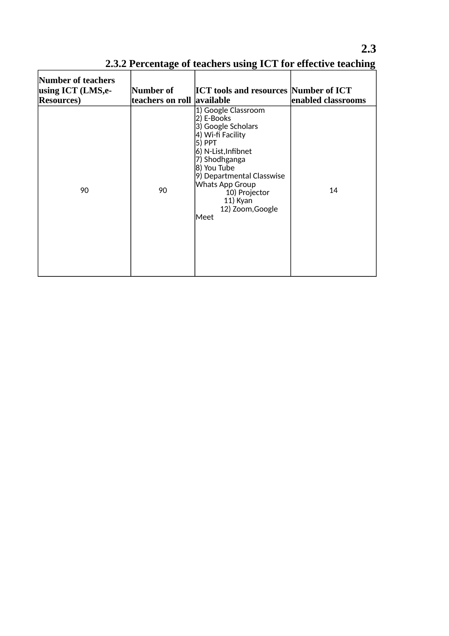| Number of teachers<br>using ICT (LMS,e-<br><b>Resources</b> ) | Number of<br> teachers on roll_ | <b>ICT tools and resources Number of ICT</b><br>available                                                                                                                                                                                              | enabled classrooms |
|---------------------------------------------------------------|---------------------------------|--------------------------------------------------------------------------------------------------------------------------------------------------------------------------------------------------------------------------------------------------------|--------------------|
| 90                                                            | 90                              | 1) Google Classroom<br>2) E-Books<br>3) Google Scholars<br>4) Wi-fi Facility<br>5) PPT<br>6) N-List, Infibnet<br>7) Shodhganga<br>8) You Tube<br>9) Departmental Classwise<br>Whats App Group<br>10) Projector<br>11) Kyan<br>12) Zoom, Google<br>Meet | 14                 |

**2.3.2 Percentage of teachers using ICT for effective teaching**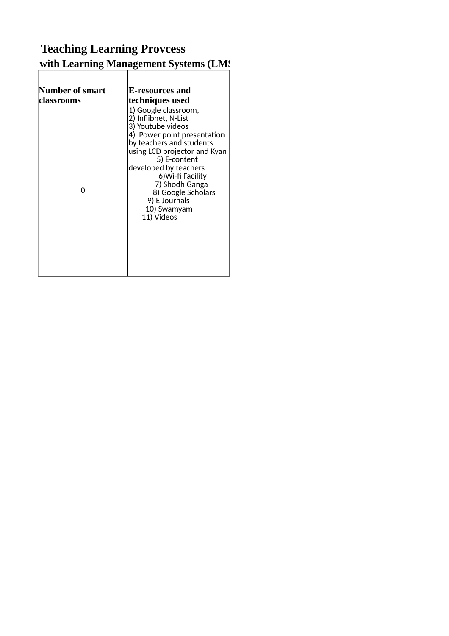# **2.3 Teaching Learning Provcess 2.3.2 Percentage of the Learning Management Systems (LMS)**

| Number of smart | E-resources and                                                                                                                                                                                                                                                                                                  |
|-----------------|------------------------------------------------------------------------------------------------------------------------------------------------------------------------------------------------------------------------------------------------------------------------------------------------------------------|
| classrooms      | techniques used                                                                                                                                                                                                                                                                                                  |
| ი               | 1) Google classroom,<br>2) Inflibnet, N-List<br>3) Youtube videos<br>4) Power point presentation<br>by teachers and students<br>using LCD projector and Kyan<br>5) E-content<br>developed by teachers<br>6) Wi-fi Facility<br>7) Shodh Ganga<br>8) Google Scholars<br>9) E Journals<br>10) Swamyam<br>11) Videos |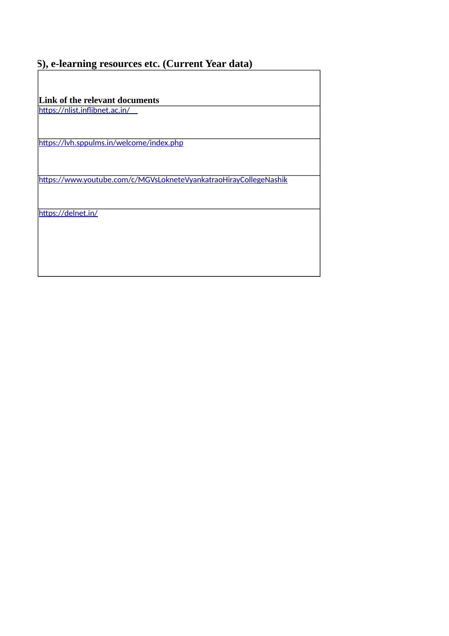#### **3), e-learning resources etc. (Current Year data)**

**Link of the relevant documents**

<https://nlist.inflibnet.ac.in/>

<https://lvh.sppulms.in/welcome/index.php>

<https://www.youtube.com/c/MGVsLokneteVyankatraoHirayCollegeNashik>

<https://delnet.in/>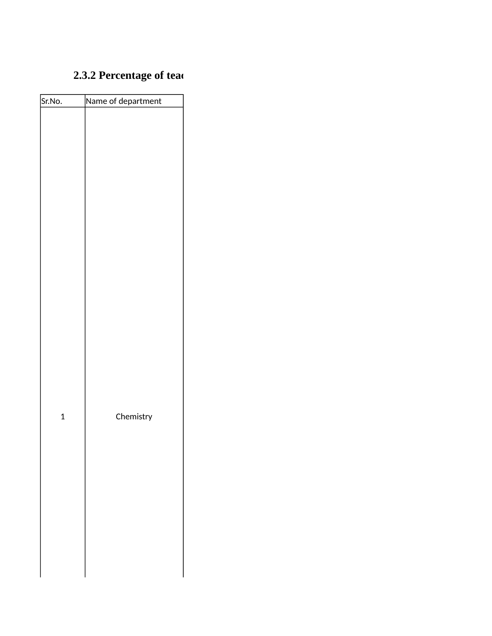# **2.3.2 Percentage of teaching**

| Sr.No.       | Name of department |
|--------------|--------------------|
|              |                    |
|              |                    |
|              |                    |
|              |                    |
| $\mathbf{1}$ | Chemistry          |
|              |                    |
|              |                    |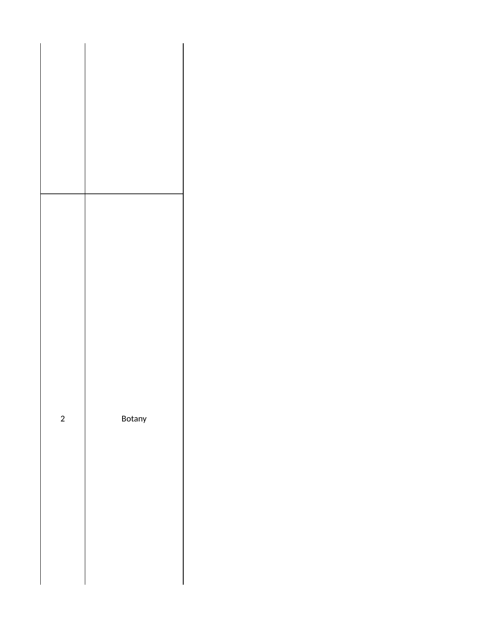| $\overline{\mathbf{c}}$ | Botany |
|-------------------------|--------|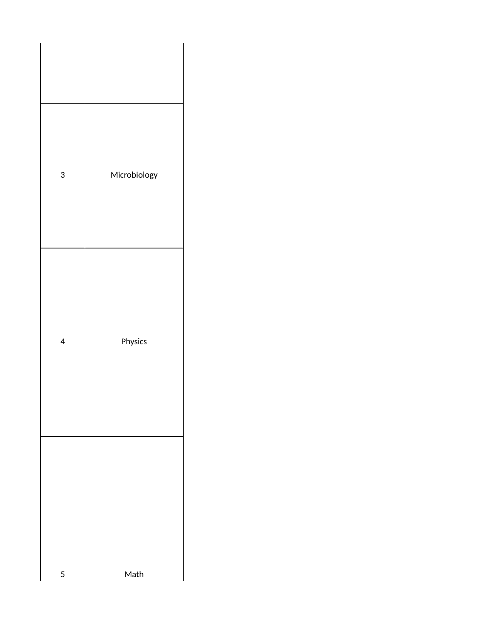| 3                        | Microbiology |
|--------------------------|--------------|
| $\overline{\mathcal{A}}$ | Physics      |
| 5                        | Math         |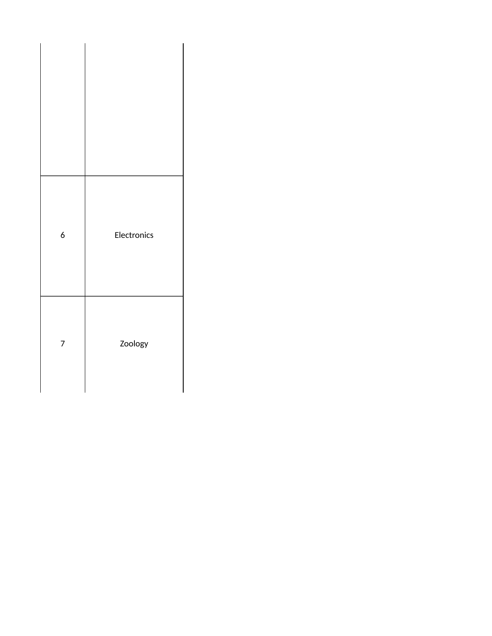| $\pmb{6}$ | Electronics |
|-----------|-------------|
| 7         | Zoology     |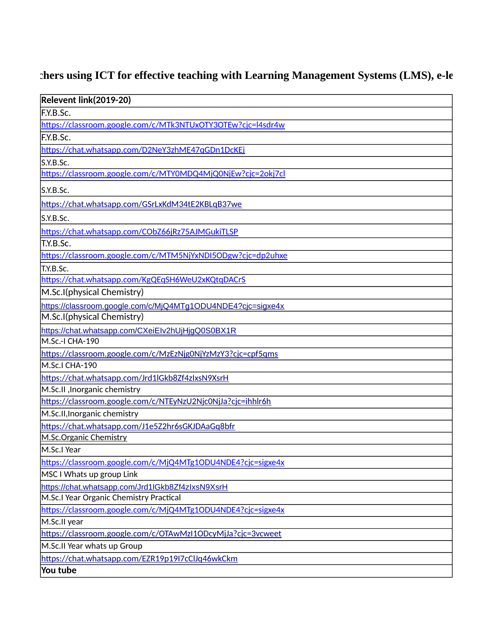# 2.3.2 Pers using ICT for effective teaching with Learning Management Systems (LMS), e-le

| Relevent link(2019-20)                                      |
|-------------------------------------------------------------|
| F.Y.B.Sc.                                                   |
| https://classroom.google.com/c/MTk3NTUxOTY3OTEw?cjc=l4sdr4w |
| F.Y.B.Sc.                                                   |
| https://chat.whatsapp.com/D2NeY3zhME47qGDn1DcKEj            |
| S.Y.B.Sc.                                                   |
| https://classroom.google.com/c/MTY0MDQ4MjQ0NjEw?cjc=2okj7cl |
| S.Y.B.Sc.                                                   |
| https://chat.whatsapp.com/GSrLxKdM34tE2KBLqB37we            |
| S.Y.B.Sc.                                                   |
| https://chat.whatsapp.com/CObZ66jRz75AJMGukiTLSP            |
| T.Y.B.Sc.                                                   |
| https://classroom.google.com/c/MTM5NjYxNDI5ODgw?cjc=dp2uhxe |
| T.Y.B.Sc.                                                   |
| https://chat.whatsapp.com/KgQEqSH6WeU2xKQtqDACrS            |
| M.Sc.I(physical Chemistry)                                  |
| https://classroom.google.com/c/MjQ4MTg1ODU4NDE4?cjc=sigxe4x |
| M.Sc.I(physical Chemistry)                                  |
| https://chat.whatsapp.com/CXeiElv2hUjHjgQ0S0BX1R            |
| M.Sc.-I CHA-190                                             |
| https://classroom.google.com/c/MzEzNjg0NjYzMzY3?cjc=cpf5qms |
| M.Sc.I CHA-190                                              |
| https://chat.whatsapp.com/Jrd1lGkb8Zf4zIxsN9XsrH            |
| M.Sc.II, Inorganic chemistry                                |
| https://classroom.google.com/c/NTEyNzU2Njc0NjJa?cjc=ihhlr6h |
| M.Sc.II, Inorganic chemistry                                |
| https://chat.whatsapp.com/J1e5Z2hr6sGKJDAaGq8bfr            |
| M.Sc.Organic Chemistry                                      |
| M.Sc.I Year                                                 |
| https://classroom.google.com/c/MjQ4MTg1ODU4NDE4?cjc=sigxe4x |
| MSC I Whats up group Link                                   |
| https://chat.whatsapp.com/Jrd1lGkb8Zf4zIxsN9XsrH            |
| M.Sc.I Year Organic Chemistry Practical                     |
| https://classroom.google.com/c/MjQ4MTg1ODU4NDE4?cjc=sigxe4x |
| M.Sc.II year                                                |
| https://classroom.google.com/c/OTAwMzI1ODcyMjJa?cjc=3vcweet |
| M.Sc.II Year whats up Group                                 |
| https://chat.whatsapp.com/EZR19p19I7cClJq46wkCkm            |
| You tube                                                    |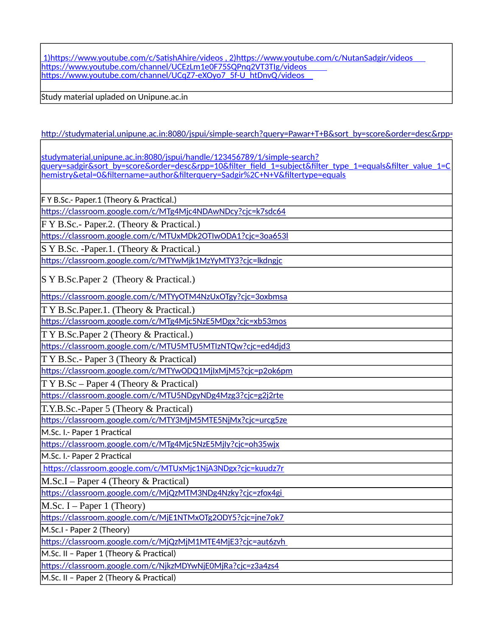1)https://www.youtube.com/c/SatishAhire/videos , 2)https://www.youtube.com/c/NutanSadgir/videos https://www.youtube.com/channel/UCEzLm1e0F75SQPnq2VT3TIg/videos https://www.youtube.com/channel/UCqZ7-eXOyo7\_5f-U\_htDnvQ/videos

Study material upladed on Unipune.ac.in

[http://studymaterial.unipune.ac.in:8080/jspui/simple-search?query=Pawar+T+B&sort\\_by=score&order=desc&rpp=](http://studymaterial.unipune.ac.in:8080/jspui/simple-search?query=Pawar+T+B&sort_by=score&order=desc&rpp=10&etal=0&filtername=author&filterquery=Pawar%2C+T+B&filtertype=equals)

studymaterial.unipune.ac.in:8080/jspui/handle/123456789/1/simple-search? query=sadgir&sort\_by=score&order=desc&rpp=10&filter\_field\_1=subject&filter\_type\_1=equals&filter\_value\_1=C hemistry&etal=0&filtername=author&filterquery=Sadgir%2C+N+V&filtertype=equals

F Y B.Sc.- Paper.1 (Theory & Practical.)

<https://classroom.google.com/c/MTg4Mjc4NDAwNDcy?cjc=k7sdc64>

F Y B.Sc.- Paper.2. (Theory & Practical.)

<https://classroom.google.com/c/MTUxMDk2OTIwODA1?cjc=3oa653l>

S Y B.Sc. -Paper.1. (Theory & Practical.)

<https://classroom.google.com/c/MTYwMjk1MzYyMTY3?cjc=lkdngjc>

S Y B.Sc.Paper 2 (Theory & Practical.)

<https://classroom.google.com/c/MTYyOTM4NzUxOTgy?cjc=3oxbmsa>

T Y B.Sc.Paper.1. (Theory & Practical.)

<https://classroom.google.com/c/MTg4Mjc5NzE5MDgx?cjc=xb53mos>

T Y B.Sc.Paper 2 (Theory & Practical.)

<https://classroom.google.com/c/MTU5MTU5MTIzNTQw?cjc=ed4djd3>

T Y B.Sc.- Paper 3 (Theory & Practical)

<https://classroom.google.com/c/MTYwODQ1MjIxMjM5?cjc=p2ok6pm>

T Y B.Sc – Paper 4 (Theory & Practical)

<https://classroom.google.com/c/MTU5NDgyNDg4Mzg3?cjc=g2j2rte>

T.Y.B.Sc.-Paper 5 (Theory & Practical)

<https://classroom.google.com/c/MTY3MjM5MTE5NjMx?cjc=urcg5ze>

M.Sc. I.- Paper 1 Practical

<https://classroom.google.com/c/MTg4Mjc5NzE5MjIy?cjc=oh35wjx>

M.Sc. I.- Paper 2 Practical

https://classroom.google.com/c/MTUxMjc1NjA3NDgx?cjc=kuudz7r

M.Sc.I – Paper 4 (Theory & Practical)

<https://classroom.google.com/c/MjQzMTM3NDg4Nzky?cjc=zfox4gi>

M.Sc. I – Paper 1 (Theory)

<https://classroom.google.com/c/MjE1NTMxOTg2ODY5?cjc=jne7ok7>

M.Sc.I - Paper 2 (Theory)

<https://classroom.google.com/c/MjQzMjM1MTE4MjE3?cjc=aut6zvh>

M.Sc. II – Paper 1 (Theory & Practical)

<https://classroom.google.com/c/NjkzMDYwNjE0MjRa?cjc=z3a4zs4>

M.Sc. II – Paper 2 (Theory & Practical)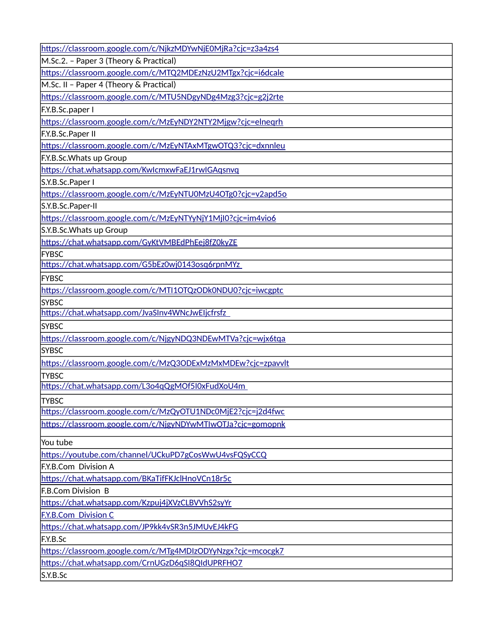| https://classroom.google.com/c/NjkzMDYwNjE0MjRa?cjc=z3a4zs4 |
|-------------------------------------------------------------|
| M.Sc.2. - Paper 3 (Theory & Practical)                      |
| https://classroom.google.com/c/MTQ2MDEzNzU2MTgx?cjc=i6dcale |
| M.Sc. II - Paper 4 (Theory & Practical)                     |
| https://classroom.google.com/c/MTU5NDgyNDg4Mzg3?cjc=g2j2rte |
| F.Y.B.Sc.paper I                                            |
| https://classroom.google.com/c/MzEyNDY2NTY2Mjgw?cjc=elneqrh |
| F.Y.B.Sc.Paper II                                           |
| https://classroom.google.com/c/MzEyNTAxMTgwOTQ3?cjc=dxnnleu |
| F.Y.B.Sc.Whats up Group                                     |
| https://chat.whatsapp.com/KwlcmxwFaEJ1rwIGAqsnvq            |
| S.Y.B.Sc.Paper I                                            |
| https://classroom.google.com/c/MzEyNTU0MzU4OTg0?cjc=v2apd5o |
| S.Y.B.Sc.Paper-II                                           |
| https://classroom.google.com/c/MzEyNTYyNjY1MjI0?cjc=im4vio6 |
| S.Y.B.Sc.Whats up Group                                     |
| https://chat.whatsapp.com/GyKtVMBEdPhEej8fZ0kyZE            |
| <b>FYBSC</b>                                                |
| https://chat.whatsapp.com/G5bEz0wj0143osq6rpnMYz            |
| <b>FYBSC</b>                                                |
| https://classroom.google.com/c/MTI1OTQzODk0NDU0?cjc=iwcgptc |
| <b>SYBSC</b>                                                |
| https://chat.whatsapp.com/JvaSInv4WNcJwEIjcfrsfz            |
| <b>SYBSC</b>                                                |
| https://classroom.google.com/c/NjgyNDQ3NDEwMTVa?cjc=wjx6tqa |
| <b>SYBSC</b>                                                |
| https://classroom.google.com/c/MzQ3ODExMzMxMDEw?cjc=zpavvlt |
| <b>TYBSC</b>                                                |
| https://chat.whatsapp.com/L3o4qQgMOf5I0xFudXoU4m            |
| <b>TYBSC</b>                                                |
| https://classroom.google.com/c/MzQyOTU1NDc0MjE2?cjc=j2d4fwc |
| https://classroom.google.com/c/NjgyNDYwMTIwOTJa?cjc=gomopnk |
| You tube                                                    |
| https://youtube.com/channel/UCkuPD7gCosWwU4vsFQSyCCQ        |
| F.Y.B.Com Division A                                        |
| https://chat.whatsapp.com/BKaTifFKJclHnoVCn18r5c            |
| <b>F.B.Com Division B</b>                                   |
| https://chat.whatsapp.com/Kzpuj4jXVzCLBVVhS2syYr            |
| <b>F.Y.B.Com Division C</b>                                 |
| https://chat.whatsapp.com/JP9kk4vSR3n5JMUvEJ4kFG            |
| F.Y.B.Sc                                                    |
| https://classroom.google.com/c/MTg4MDIzODYyNzgx?cjc=mcocgk7 |
| https://chat.whatsapp.com/CrnUGzD6qSI8QIdUPRFHO7            |
| S.Y.B.Sc                                                    |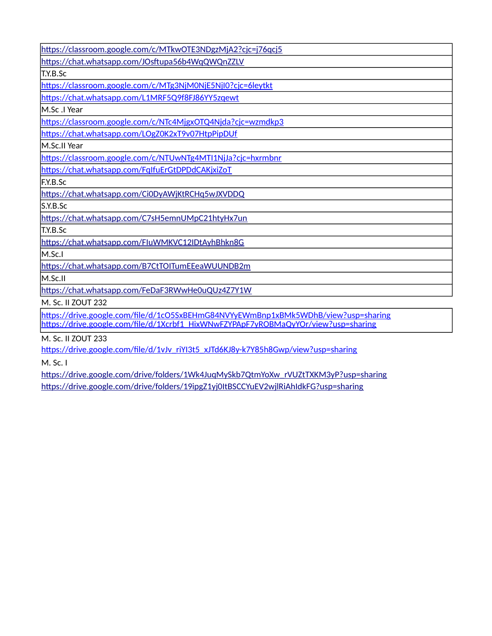| https://classroom.google.com/c/MTkwOTE3NDgzMjA2?cjc=j76qcj5                         |
|-------------------------------------------------------------------------------------|
| https://chat.whatsapp.com/JOsftupa56b4WqQWQnZZLV                                    |
| T.Y.B.Sc                                                                            |
| https://classroom.google.com/c/MTg3NjM0NjE5NjI0?cjc=6leytkt                         |
| https://chat.whatsapp.com/L1MRF5Q9f8FJ86YY5zqewt                                    |
| M.Sc .I Year                                                                        |
| https://classroom.google.com/c/NTc4MjgxOTQ4Njda?cjc=wzmdkp3                         |
| https://chat.whatsapp.com/LOgZ0K2xT9v07HtpPipDUf                                    |
| M.Sc.II Year                                                                        |
| https://classroom.google.com/c/NTUwNTg4MTI1NjJa?cjc=hxrmbnr                         |
| https://chat.whatsapp.com/FqlfuErGtDPDdCAKjxiZoT                                    |
| F.Y.B.Sc                                                                            |
| https://chat.whatsapp.com/Ci0DyAWjKtRCHq5wJXVDDQ                                    |
| S.Y.B.Sc                                                                            |
| https://chat.whatsapp.com/C7sH5emnUMpC21htyHx7un                                    |
| T.Y.B.Sc                                                                            |
| https://chat.whatsapp.com/FluWMKVC12IDtAyhBhkn8G                                    |
| M.Sc.I                                                                              |
| https://chat.whatsapp.com/B7CtTOITumEEeaWUUNDB2m                                    |
| M.Sc.II                                                                             |
| https://chat.whatsapp.com/FeDaF3RWwHe0uQUz4Z7Y1W                                    |
| M. Sc. II ZOUT 232                                                                  |
| https://drive.google.com/file/d/1cQ5SyPEHmC84NN/VyEWmPpp1yPMk5WDbP/view?usp-sharing |

https://drive.google.com/file/d/1cO5SxBEHmG84NVYyEWmBnp1xBMk5WDhB/view?usp=sharing https://drive.google.com/file/d/1Xcrbf1\_HixWNwFZYPApF7yROBMaQyYOr/view?usp=sharing

M. Sc. II ZOUT 233

https://drive.google.com/file/d/1vJv\_riYI3t5\_xJTd6KJ8y-k7Y85h8Gwp/view?usp=sharing

M. Sc. I

[https://drive.google.com/drive/folders/1Wk4JuqMySkb7QtmYoXw\\_rVUZtTXKM3yP?usp=sharing](https://drive.google.com/drive/folders/1Wk4JuqMySkb7QtmYoXw_rVUZtTXKM3yP?usp=sharing) <https://drive.google.com/drive/folders/19ipgZ1yj0ItBSCCYuEV2wjlRiAhIdkFG?usp=sharing>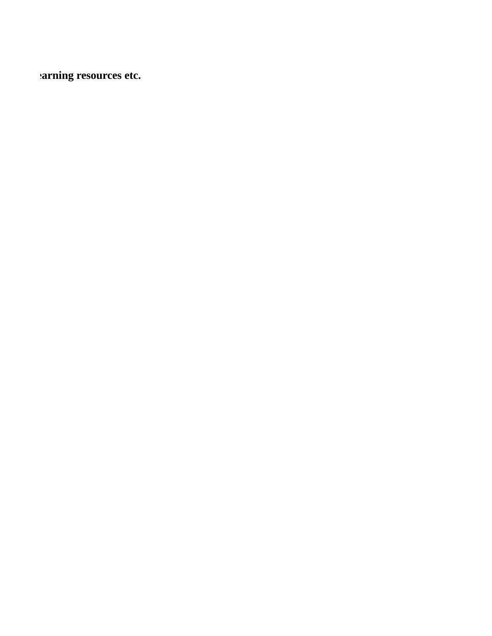.2 **arning resources etc.**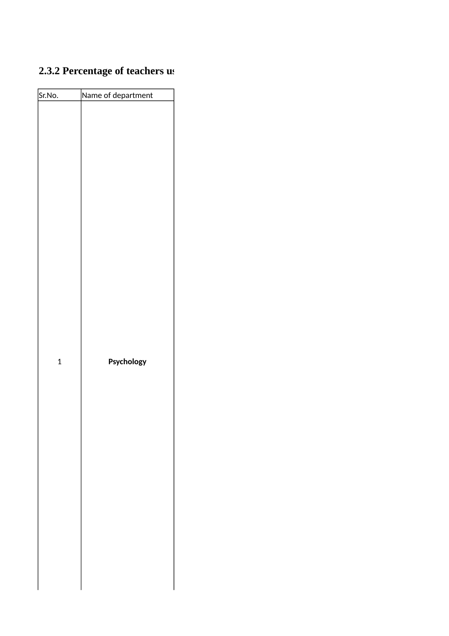### **2.3.2 Percentage of teachers us**

| Sr.No.       | Name of department |  |
|--------------|--------------------|--|
|              |                    |  |
| $\mathbf{1}$ | Psychology         |  |
|              |                    |  |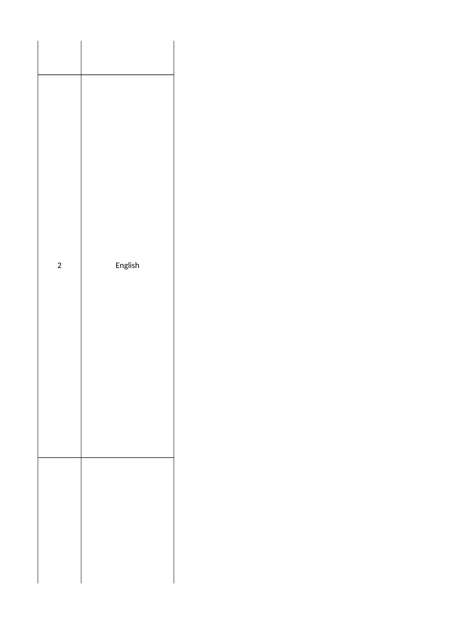| $\overline{\mathbf{c}}$ | English |
|-------------------------|---------|
|                         |         |
|                         |         |
|                         |         |
|                         |         |
|                         |         |
|                         |         |
|                         |         |
|                         |         |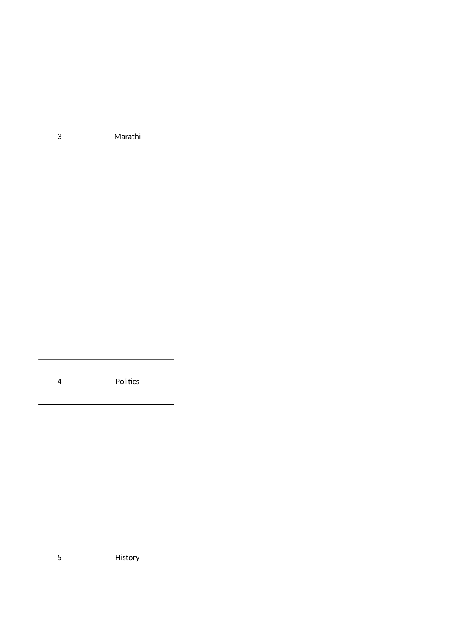| 3 | Marathi  |
|---|----------|
|   |          |
|   |          |
|   |          |
|   |          |
| 4 | Politics |
|   |          |
|   |          |
|   |          |
| 5 | History  |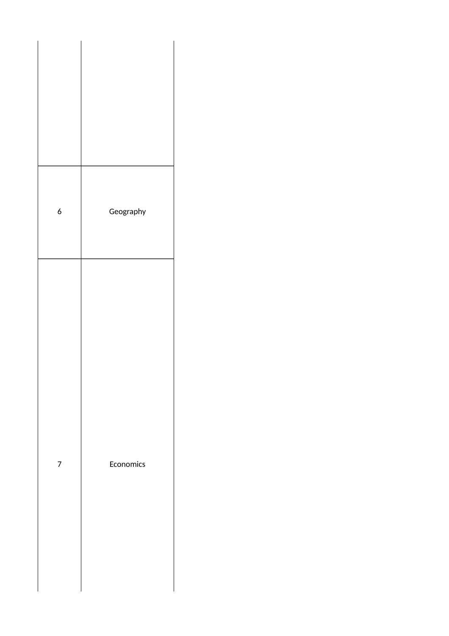| $\boldsymbol{6}$ | Geography |  |
|------------------|-----------|--|
| $\boldsymbol{7}$ | Economics |  |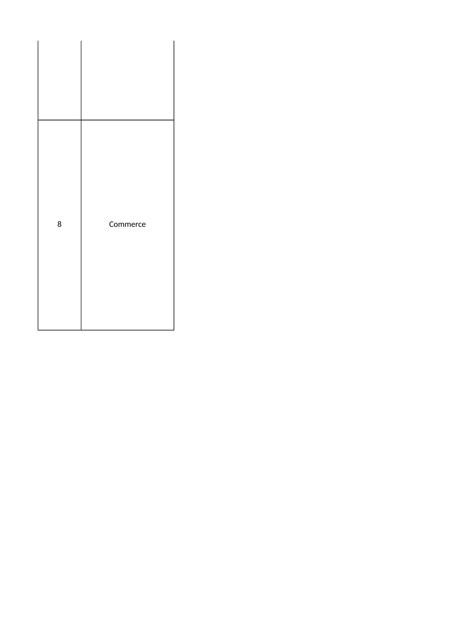| 8 | Commerce |
|---|----------|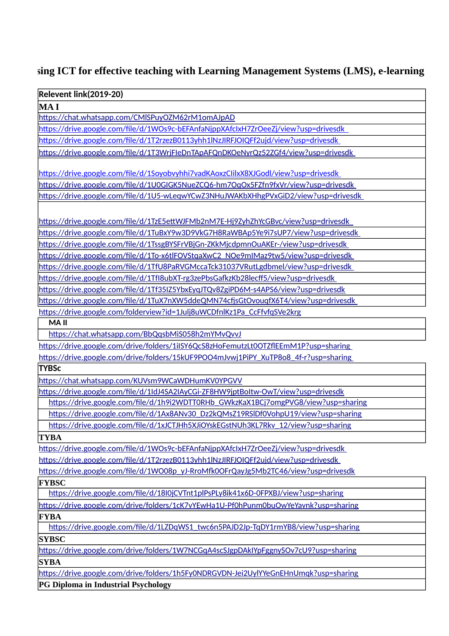#### $2.3$  aing ICT for effective teaching with Learning Management Systems (LMS), e-learning

| <b>Relevent link(2019-20)</b>                                                        |
|--------------------------------------------------------------------------------------|
| <b>MAI</b>                                                                           |
| https://chat.whatsapp.com/CMISPuyOZM62rM1omAJpAD                                     |
| https://drive.google.com/file/d/1WOs9c-bEFAnfaNjppXAfcIxH7ZrOeeZj/view?usp=drivesdk  |
| https://drive.google.com/file/d/1T2rzezB0113yhh1lNzJIRFJOIQFf2ujd/view?usp=drivesdk  |
| https://drive.google.com/file/d/1T3WrjFleDnTApAFQnDKOeNyrQz52ZGf4/view?usp=drivesdk  |
| https://drive.google.com/file/d/1Soyobvyhhi7vadKAoxzClilxX8XJGodl/view?usp=drivesdk  |
| https://drive.google.com/file/d/1U0GIGK5NueZCQ6-hm7OqOx5FZfn9fxVr/view?usp=drivesdk  |
| https://drive.google.com/file/d/1U5-wLeqwYCwZ3NHuJWAKbXHhgPVxGiD2/view?usp=drivesdk  |
|                                                                                      |
|                                                                                      |
| https://drive.google.com/file/d/1TzE5ettWJFMb2nM7E-Hj9ZyhZhYcGBvc/view?usp=drivesdk  |
| https://drive.google.com/file/d/1TuBxY9w3D9VkG7H8RaWBAp5Ye9i7sUP7/view?usp=drivesdk  |
| https://drive.google.com/file/d/1TssgBYSFrVBjGn-ZKkMjcdpmnOuAKEr-/view?usp=drivesdk  |
| https://drive.google.com/file/d/1To-x6tlFOVStgaXwC2_NOe9mIMaz9tw5/view?usp=drivesdk  |
| https://drive.google.com/file/d/1TfU8PaRVGMccaTck31037VRutLgdbmel/view?usp=drivesdk  |
| https://drive.google.com/file/d/1Tfl8ubXT-rg3zePbsGafkzKb28lecff5/view?usp=drivesdk  |
| https://drive.google.com/file/d/1Tf35IZ5YbxEyqJTQv8ZgiPD6M-s4APS6/view?usp=drivesdk  |
| https://drive.google.com/file/d/1TuX7nXW5ddeQMN74cfjsGtOvougfX6T4/view?usp=drivesdk  |
| https://drive.google.com/folderview?id=1Julj8uWCDfnlKz1Pa CcFfvfqSVe2krg             |
| <b>MAII</b>                                                                          |
| https://chat.whatsapp.com/BbQqsbMiS058h2mYMvQvvJ                                     |
| https://drive.google.com/drive/folders/1ilSY6QcS8zHoFemutzLt0OTZflEEmM1P?usp=sharing |
| https://drive.google.com/drive/folders/15kUF9POO4mJvwj1PiPY_XuTP8o8_4f-r?usp=sharing |
| <b>TYBSc</b>                                                                         |
| https://chat.whatsapp.com/KUVsm9WCaWDHumKV0YPGVV                                     |
| https://drive.google.com/file/d/1ldJ4SA2IAyCGi-ZF8HW9jptBoltw-OwT/view?usp=drivesdk  |
| https://drive.google.com/file/d/1h9i2WDTT0RHb GWkzKaX1BCj7omgPVG8/view?usp=sharing   |
| https://drive.google.com/file/d/1Ax8ANv30_Dz2kQMsZ19RSIDf0VohpU19/view?usp=sharing   |
| https://drive.google.com/file/d/1xJCTJHh5XJiOYskEGstNUh3KL7Rkv_12/view?usp=sharing   |
| <b>TYBA</b>                                                                          |
| https://drive.google.com/file/d/1WOs9c-bEFAnfaNjppXAfcIxH7ZrOeeZj/view?usp=drivesdk  |
| https://drive.google.com/file/d/1T2rzezB0113yhh1lNzJIRFJOIQFf2ujd/view?usp=drivesdk  |
| https://drive.google.com/file/d/1WO08p_yJ-RroMfk0OFrQayJg5Mb2TC46/view?usp=drivesdk  |
| <b>FYBSC</b>                                                                         |
| https://drive.google.com/file/d/18I0jCVTnt1plPsPLy8ik41x6D-0FPXBJ/view?usp=sharing   |
| https://drive.google.com/drive/folders/1cK7vYEwHa1U-Pf0hPunm0buOwYeYavnk?usp=sharing |
| <b>FYBA</b>                                                                          |
| https://drive.google.com/file/d/1LZDqWS1_twc6n5PAJD2Jp-TqDY1rmYB8/view?usp=sharing   |
|                                                                                      |
| <b>SYBSC</b>                                                                         |
| https://drive.google.com/drive/folders/1W7NCGqA4scSJgpDAkIYpFggnySOv7cU9?usp=sharing |
| <b>SYBA</b>                                                                          |
| https://drive.google.com/drive/folders/1h5Fy0NDRGVDN-Jei2UylYYeGnEHnUmqk?usp=sharing |

**PG Diploma in Industrial Psychology**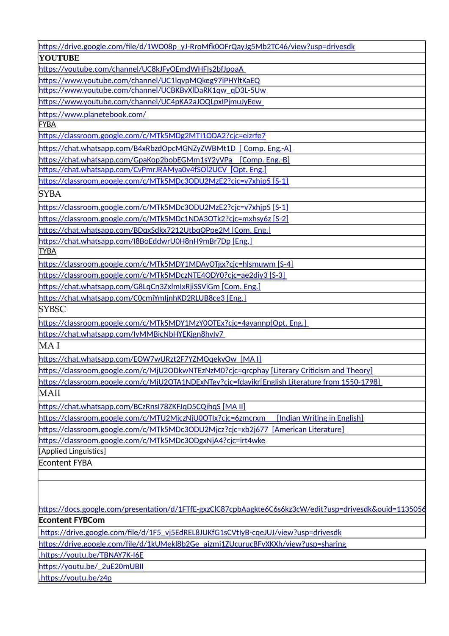| https://drive.google.com/file/d/1WO08p_yJ-RroMfk0OFrQayJg5Mb2TC46/view?usp=drivesdk                     |
|---------------------------------------------------------------------------------------------------------|
| <b>YOUTUBE</b>                                                                                          |
| https://youtube.com/channel/UC8kJFyOEmdWHFIs2bfJpoaA                                                    |
| https://www.youtube.com/channel/UC1lqvpMQkeg97iPHYltKaEQ                                                |
| https://www.youtube.com/channel/UCBKBvXlDaRK1qw qD3L-5Uw                                                |
| https://www.youtube.com/channel/UC4pKA2aJOQLpxIPimuJyEew                                                |
| https://www.planetebook.com/                                                                            |
| <b>FYBA</b>                                                                                             |
| https://classroom.google.com/c/MTk5MDg2MTI1ODA2?cjc=eizrfe7                                             |
| https://chat.whatsapp.com/B4xRbzdOpcMGNZyZWBMt1D [ Comp. Eng.-A]                                        |
| https://chat.whatsapp.com/GpaKop2bobEGMm1sY2yVPa [Comp. Eng.-B]                                         |
| https://chat.whatsapp.com/CvPmrJRAMya0v4fSOl2UCV [Opt. Eng.]                                            |
| https://classroom.google.com/c/MTk5MDc3ODU2MzE2?cjc=v7xhjp5 [S-1]                                       |
| SYBA                                                                                                    |
| https://classroom.google.com/c/MTk5MDc3ODU2MzE2?cjc=v7xhjp5 [S-1]                                       |
| https://classroom.google.com/c/MTk5MDc1NDA3OTk2?cjc=mxhsy6z [S-2]                                       |
| https://chat.whatsapp.com/BDqxSdkx7212UtbqOPpe2M [Com. Eng.]                                            |
| https://chat.whatsapp.com/I8BoEddwrU0H8nH9mBr7Dp [Eng.]                                                 |
| <b>TYBA</b>                                                                                             |
| https://classroom.google.com/c/MTk5MDY1MDAyOTgx?cjc=hlsmuwm [S-4]                                       |
| https://classroom.google.com/c/MTk5MDczNTE4ODY0?cjc=ae2diy3 [S-3]                                       |
| https://chat.whatsapp.com/G8LqCn3ZxlmIxRjiSSViGm [Com. Eng.]                                            |
| https://chat.whatsapp.com/C0cmiYmljnhKD2RLUB8ce3 [Eng.]                                                 |
| <b>SYBSC</b>                                                                                            |
| https://classroom.google.com/c/MTk5MDY1MzY0OTEx?cjc=4avannp[Opt. Eng.]                                  |
| https://chat.whatsapp.com/lyMMBicNbHYEKjgn8hvlv7                                                        |
| MA I                                                                                                    |
| https://chat.whatsapp.com/EOW7wURzt2F7YZMOqekvOw [MAI]                                                  |
| https://classroom.google.com/c/MjU2ODkwNTEzNzM0?cjc=qrcphay [Literary Criticism and Theory]             |
| https://classroom.google.com/c/MjU2OTA1NDExNTgy?cjc=fdayikr[English Literature from 1550-1798]          |
| MAII                                                                                                    |
| https://chat.whatsapp.com/BCzRnsI78ZKFJqD5CQihqS [MA II]                                                |
| https://classroom.google.com/c/MTU2MjczNjU0OTIx?cjc=6zmcrxm<br>Indian Writing in English]               |
| https://classroom.google.com/c/MTk5MDc3ODU2Mjcz?cjc=xb2j677<br>[American Literature]                    |
| https://classroom.google.com/c/MTk5MDc3ODgxNjA4?cjc=irt4wke                                             |
| [Applied Linguistics]                                                                                   |
| <b>Econtent FYBA</b>                                                                                    |
|                                                                                                         |
|                                                                                                         |
|                                                                                                         |
| https://docs.google.com/presentation/d/1FTfE-gxzClC87cpbAagkte6C6s6kz3cW/edit?usp=drivesdk&ouid=1135056 |
| <b>Econtent FYBCom</b>                                                                                  |
| https://drive.google.com/file/d/1F5_vj5EdREL8JUKfG1sCVtlyB-cqeJUJ/view?usp=drivesdk                     |
| https://drive.google.com/file/d/1kUMekl8b2Ge_aizmi1ZUcurucBFvXKXh/view?usp=sharing                      |
| .https://youtu.be/TBNAY7K-I6E                                                                           |
| https://youtu.be/ 2uE20mUBII                                                                            |
| .https://youtu.be/z4p                                                                                   |
|                                                                                                         |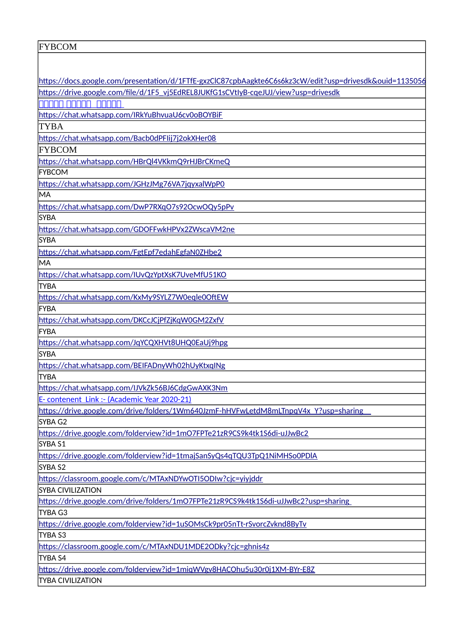| <b>FYBCOM</b>                                                                                           |
|---------------------------------------------------------------------------------------------------------|
|                                                                                                         |
|                                                                                                         |
| https://docs.google.com/presentation/d/1FTfE-gxzClC87cpbAagkte6C6s6kz3cW/edit?usp=drivesdk&ouid=1135056 |
| https://drive.google.com/file/d/1F5_vj5EdREL8JUKfG1sCVtlyB-cqeJUJ/view?usp=drivesdk                     |
| <u>AAAAA AAAAA AAAAA</u>                                                                                |
| https://chat.whatsapp.com/IRkYuBhvuaU6cv0oBOYBiF                                                        |
| <b>TYBA</b>                                                                                             |
| https://chat.whatsapp.com/Bacb0dPFIij7j2okXHer08                                                        |
| FYBCOM                                                                                                  |
| https://chat.whatsapp.com/HBrQl4VKkmQ9rHJBrCKmeQ                                                        |
| <b>IFYBCOM</b>                                                                                          |
|                                                                                                         |
| https://chat.whatsapp.com/JGHzJMg76VA7jqyxalWpP0<br>MA                                                  |
|                                                                                                         |
| https://chat.whatsapp.com/DwP7RXqO7s92OcwOQy5pPv                                                        |
| <b>SYBA</b>                                                                                             |
| https://chat.whatsapp.com/GDOFFwkHPVx2ZWscaVM2ne                                                        |
| <b>SYBA</b>                                                                                             |
| https://chat.whatsapp.com/FgtEpf7edahEgfaN0ZHbe2                                                        |
| MA                                                                                                      |
| https://chat.whatsapp.com/IUvQzYptXsK7UveMfU51KO                                                        |
| <b>TYBA</b>                                                                                             |
| https://chat.whatsapp.com/KxMy9SYLZ7W0eqle0OftEW                                                        |
| FYBA                                                                                                    |
| https://chat.whatsapp.com/DKCcJCjPfZjKqW0GM2ZxfV                                                        |
| <b>FYBA</b>                                                                                             |
| https://chat.whatsapp.com/JqYCQXHVt8UHQ0EaUj9hpg                                                        |
| <b>SYBA</b>                                                                                             |
| https://chat.whatsapp.com/BEIFADnyWh02hUyKtxqINg                                                        |
| <b>TYBA</b>                                                                                             |
| https://chat.whatsapp.com/IJVkZk56BJ6CdgGwAXK3Nm                                                        |
| E- contenent Link :- (Academic Year 2020-21)                                                            |
| https://drive.google.com/drive/folders/1Wm640JzmF-hHVFwLetdM8mLTnpqV4x Y?usp=sharing                    |
|                                                                                                         |
| SYBA G2                                                                                                 |
| https://drive.google.com/folderview?id=1mO7FPTe21zR9CS9k4tk1S6di-uJJwBc2                                |
| SYBA S1                                                                                                 |
| https://drive.google.com/folderview?id=1tmajSanSyQs4qTQU3TpQ1NiMHSo0PDIA                                |
| SYBA S2                                                                                                 |
| https://classroom.google.com/c/MTAxNDYwOTI5ODIw?cjc=yiyjddr                                             |
| SYBA CIVILIZATION                                                                                       |
| https://drive.google.com/drive/folders/1mO7FPTe21zR9CS9k4tk1S6di-uJJwBc2?usp=sharing                    |
| TYBA G3                                                                                                 |
| https://drive.google.com/folderview?id=1uSOMsCk9pr05nTt-rSvorcZvknd8ByTv                                |
| TYBA S3                                                                                                 |
| https://classroom.google.com/c/MTAxNDU1MDE2ODky?cjc=ghnis4z                                             |
| TYBA S4                                                                                                 |
| https://drive.google.com/folderview?id=1miqWVgv8HACOhu5u30r0j1XM-BYr-E8Z                                |
| <b>TYBA CIVILIZATION</b>                                                                                |
|                                                                                                         |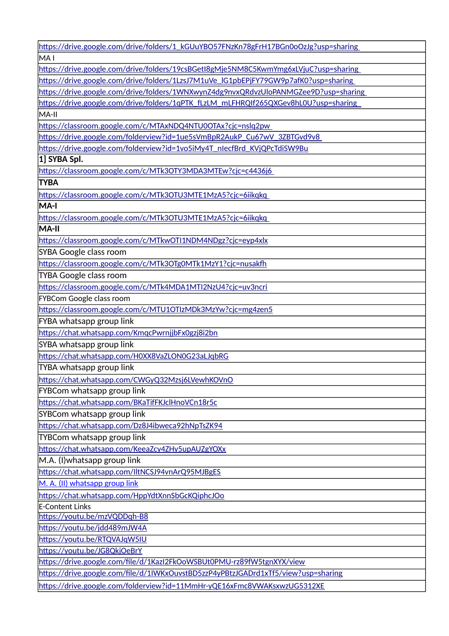| https://drive.google.com/drive/folders/1_kGUuYBO57FNzKn78gFrH17BGn0oOzJg?usp=sharing |
|--------------------------------------------------------------------------------------|
| MA <sub>I</sub>                                                                      |
| https://drive.google.com/drive/folders/19csBGetI8gMje5NM8C5KwmYmg6xLVjuC?usp=sharing |
| https://drive.google.com/drive/folders/1LzsJ7M1uVe IG1pbEPjFY79GW9p7afK0?usp=sharing |
| https://drive.google.com/drive/folders/1WNXwynZ4dg9nvxQRdvzUloPANMGZee9D?usp=sharing |
| https://drive.google.com/drive/folders/1qPTK_fLzLM_mLFHRQIf265QXGev8hL0U?usp=sharing |
| MA-II                                                                                |
| https://classroom.google.com/c/MTAxNDQ4NTU0OTAx?cjc=nslq2pw                          |
| https://drive.google.com/folderview?id=1ue5sVmBpR2AukP_Cu67wV_3ZBTGvd9v8             |
| https://drive.google.com/folderview?id=1vo5iMy4T_nlecfBrd_KVjQPcTdiSW9Bu             |
| 1] SYBA Spl.                                                                         |
| https://classroom.google.com/c/MTk3OTY3MDA3MTEw?cjc=c4436j6                          |
| <b>TYBA</b>                                                                          |
| https://classroom.google.com/c/MTk3OTU3MTE1MzA5?cjc=6iikqkq                          |
| MA-I                                                                                 |
| https://classroom.google.com/c/MTk3OTU3MTE1MzA5?cjc=6iikqkq                          |
| MA-II                                                                                |
| https://classroom.google.com/c/MTkwOTI1NDM4NDgz?cjc=eyp4xlx                          |
| SYBA Google class room                                                               |
| https://classroom.google.com/c/MTk3OTg0MTk1MzY1?cjc=nusakfh                          |
| <b>TYBA Google class room</b>                                                        |
| https://classroom.google.com/c/MTk4MDA1MTI2NzU4?cjc=uv3ncri                          |
| FYBCom Google class room                                                             |
| https://classroom.google.com/c/MTU1OTIzMDk3MzYw?cjc=mg4zen5                          |
| FYBA whatsapp group link                                                             |
| https://chat.whatsapp.com/KmqcPwrnjjbFx0gzj8i2bn                                     |
| SYBA whatsapp group link                                                             |
| https://chat.whatsapp.com/H0XX8VaZLON0G23aLJqbRG                                     |
| TYBA whatsapp group link                                                             |
| https://chat.whatsapp.com/CWGyQ32Mzsj6LVewhKOVnO                                     |
| FYBCom whatsapp group link                                                           |
| https://chat.whatsapp.com/BKaTifFKJclHnoVCn18r5c                                     |
| SYBCom whatsapp group link                                                           |
| https://chat.whatsapp.com/Dz8J4ibweca92hNpTsZK94                                     |
| <b>TYBCom whatsapp group link</b>                                                    |
| https://chat.whatsapp.com/KeeaZcy4ZHy5upAUZgYOXx                                     |
| M.A. (I) what sapp group link                                                        |
| https://chat.whatsapp.com/IltNCSJ94vnArQ95MJBgES                                     |
| M. A. (II) whatsapp group link                                                       |
| https://chat.whatsapp.com/HppYdtXnnSbGcKQiphcJOo                                     |
| <b>E-Content Links</b>                                                               |
| https://youtu.be/mzVQDDqh-B8                                                         |
| https://youtu.be/jdd489mJW4A                                                         |
| https://youtu.be/RTQVAJqW5IU                                                         |
| https://youtu.be/JG8QkjOeBrY                                                         |
| https://drive.google.com/file/d/1KazI2FkOoWSBUt0PMU-rz89fW5tgnXYX/view               |
| https://drive.google.com/file/d/1IWKxOuvstBD5zzP4yPBtzJGADrd1xTf5/view?usp=sharing   |
| https://drive.google.com/folderview?id=11MmHr-yQE16xFmc8VWAKsxwzUG5312XE             |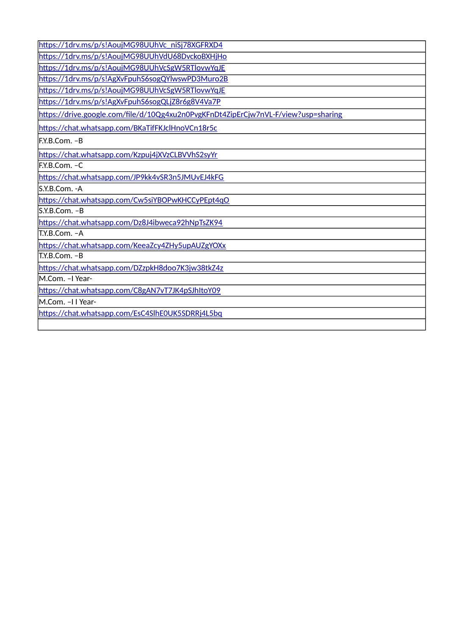| https://1drv.ms/p/s!AoujMG98UUhVc_niSj78XGFRXD4                                    |
|------------------------------------------------------------------------------------|
| https://1drv.ms/p/s!AoujMG98UUhVdU68DvckoBXHjHo                                    |
| https://1drv.ms/p/s!AoujMG98UUhVcSgW5RTlovwYqJE                                    |
| https://1drv.ms/p/s!AgXvFpuhS6sogQYlwswPD3Muro2B                                   |
| https://1drv.ms/p/s!AoujMG98UUhVcSgW5RTlovwYqJE                                    |
| https://1drv.ms/p/s!AgXvFpuhS6sogQLjZ8r6g8V4Va7P                                   |
| https://drive.google.com/file/d/10Qg4xu2n0PvgKFnDt4ZipErCjw7nVL-F/view?usp=sharing |
| https://chat.whatsapp.com/BKaTifFKJclHnoVCn18r5c                                   |
| F.Y.B.Com. -B                                                                      |
| https://chat.whatsapp.com/Kzpuj4jXVzCLBVVhS2syYr                                   |
| lF.Y.B.Com. −C                                                                     |
| https://chat.whatsapp.com/JP9kk4vSR3n5JMUvEJ4kFG                                   |
| lS.Y.B.Com. -A                                                                     |
|                                                                                    |
| https://chat.whatsapp.com/Cw5siYBOPwKHCCyPEpt4qO                                   |
| S.Y.B.Com. -B                                                                      |
| https://chat.whatsapp.com/Dz8J4ibweca92hNpTsZK94                                   |
| IT.Y.B.Com. -A                                                                     |
| https://chat.whatsapp.com/KeeaZcy4ZHy5upAUZgYOXx                                   |
| IT.Y.B.Com. -B                                                                     |
| https://chat.whatsapp.com/DZzpkH8doo7K3jw38tkZ4z                                   |
| M.Com. -I Year-                                                                    |
| https://chat.whatsapp.com/C8gAN7vT7JK4pSJhItoY09                                   |
| M.Com. -I I Year-                                                                  |
| https://chat.whatsapp.com/EsC4SlhE0UK5SDRRj4L5bq                                   |